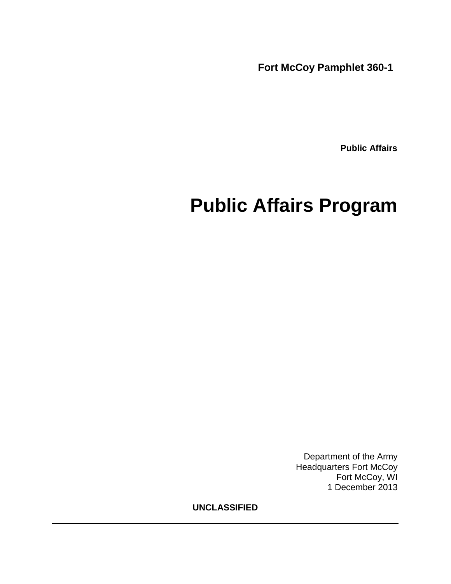**Fort McCoy Pamphlet 360-1** 

 **Public Affairs**

# **Public Affairs Program**

Department of the Army Headquarters Fort McCoy Fort McCoy, WI 1 December 2013

**UNCLASSIFIED**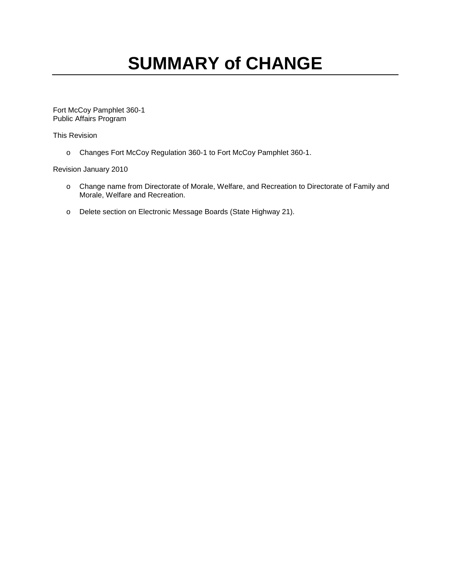# **SUMMARY of CHANGE**

Fort McCoy Pamphlet 360-1 Public Affairs Program

This Revision

o Changes Fort McCoy Regulation 360-1 to Fort McCoy Pamphlet 360-1.

# Revision January 2010

- o Change name from Directorate of Morale, Welfare, and Recreation to Directorate of Family and Morale, Welfare and Recreation.
- o Delete section on Electronic Message Boards (State Highway 21).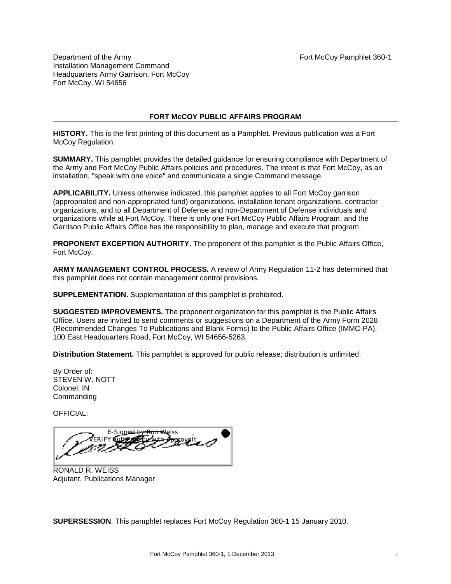Department of the Army Fort McCoy Pamphlet 360-1 Installation Management Command Headquarters Army Garrison, Fort McCoy Fort McCoy, WI 54656

# **FORT McCOY PUBLIC AFFAIRS PROGRAM**

**HISTORY.** This is the first printing of this document as a Pamphlet. Previous publication was a Fort McCoy Regulation.

**SUMMARY.** This pamphlet provides the detailed guidance for ensuring compliance with Department of the Army and Fort McCoy Public Affairs policies and procedures. The intent is that Fort McCoy, as an installation, "speak with one voice" and communicate a single Command message.

**APPLICABILITY.** Unless otherwise indicated, this pamphlet applies to all Fort McCoy garrison (appropriated and non-appropriated fund) organizations, installation tenant organizations, contractor organizations, and to all Department of Defense and non-Department of Defense individuals and organizations while at Fort McCoy. There is only one Fort McCoy Public Affairs Program, and the Garrison Public Affairs Office has the responsibility to plan, manage and execute that program.

**PROPONENT EXCEPTION AUTHORITY.** The proponent of this pamphlet is the Public Affairs Office, Fort McCoy.

**ARMY MANAGEMENT CONTROL PROCESS.** A review of Army Regulation 11-2 has determined that this pamphlet does not contain management control provisions.

**SUPPLEMENTATION.** Supplementation of this pamphlet is prohibited.

**SUGGESTED IMPROVEMENTS.** The proponent organization for this pamphlet is the Public Affairs Office. Users are invited to send comments or suggestions on a Department of the Army Form 2028 (Recommended Changes To Publications and Blank Forms) to the Public Affairs Office (IMMC-PA), 100 East Headquarters Road, Fort McCoy, WI 54656-5263.

**Distribution Statement.** This pamphlet is approved for public release; distribution is unlimited.

By Order of: STEVEN W. NOTT Colonel, IN **Commanding** 

OFFICIAL:

E-S<u>igne<del>d by Ron W</del>e</u>iss ERIFY authenticity with ApproveIt

RONALD R. WEISS Adjutant, Publications Manager

**SUPERSESSION**. This pamphlet replaces Fort McCoy Regulation 360-1 15 January 2010.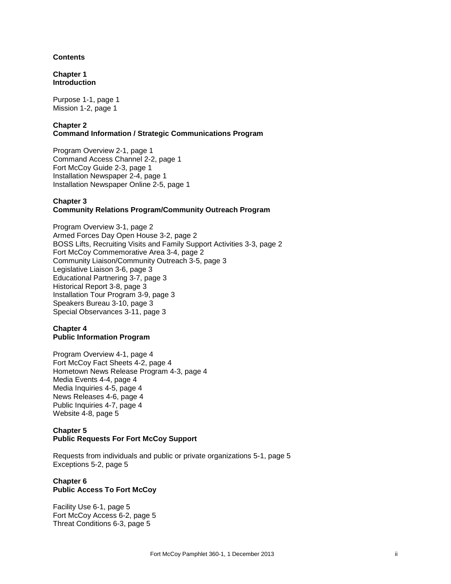## **Contents**

**Chapter 1 Introduction**

Purpose 1-1, page 1 Mission 1-2, page 1

## **Chapter 2 Command Information / Strategic Communications Program**

Program Overview 2-1, page 1 Command Access Channel 2-2, page 1 Fort McCoy Guide 2-3, page 1 Installation Newspaper 2-4, page 1 Installation Newspaper Online 2-5, page 1

# **Chapter 3**

# **Community Relations Program/Community Outreach Program**

Program Overview 3-1, page 2 Armed Forces Day Open House 3-2, page 2 BOSS Lifts, Recruiting Visits and Family Support Activities 3-3, page 2 Fort McCoy Commemorative Area 3-4, page 2 Community Liaison/Community Outreach 3-5, page 3 Legislative Liaison 3-6, page 3 Educational Partnering 3-7, page 3 Historical Report 3-8, page 3 Installation Tour Program 3-9, page 3 Speakers Bureau 3-10, page 3 Special Observances 3-11, page 3

## **Chapter 4 Public Information Program**

Program Overview 4-1, page 4 Fort McCoy Fact Sheets 4-2, page 4 Hometown News Release Program 4-3, page 4 Media Events 4-4, page 4 Media Inquiries 4-5, page 4 News Releases 4-6, page 4 Public Inquiries 4-7, page 4 Website 4-8, page 5

## **Chapter 5 Public Requests For Fort McCoy Support**

Requests from individuals and public or private organizations 5-1, page 5 Exceptions 5-2, page 5

## **Chapter 6 Public Access To Fort McCoy**

Facility Use 6-1, page 5 Fort McCoy Access 6-2, page 5 Threat Conditions 6-3, page 5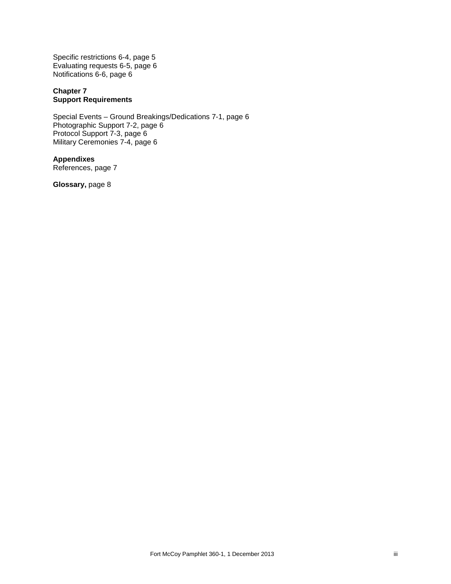Specific restrictions 6-4, page 5 Evaluating requests 6-5, page 6 Notifications 6-6, page 6

# **Chapter 7 Support Requirements**

Special Events – Ground Breakings/Dedications 7-1, page 6 Photographic Support 7-2, page 6 Protocol Support 7-3, page 6 Military Ceremonies 7-4, page 6

**Appendixes** References, page 7

**Glossary,** page 8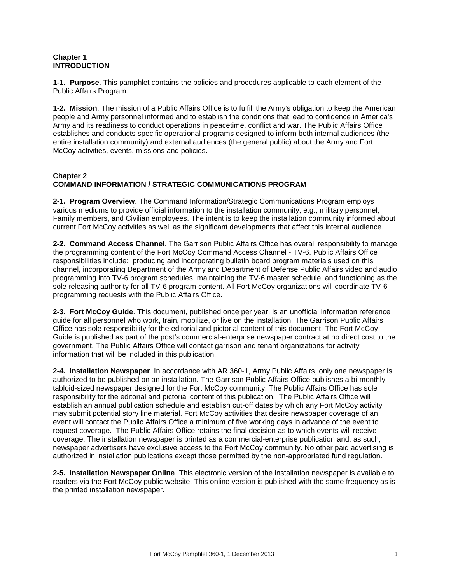# **Chapter 1 INTRODUCTION**

**1-1. Purpose**. This pamphlet contains the policies and procedures applicable to each element of the Public Affairs Program.

**1-2. Mission**. The mission of a Public Affairs Office is to fulfill the Army's obligation to keep the American people and Army personnel informed and to establish the conditions that lead to confidence in America's Army and its readiness to conduct operations in peacetime, conflict and war. The Public Affairs Office establishes and conducts specific operational programs designed to inform both internal audiences (the entire installation community) and external audiences (the general public) about the Army and Fort McCoy activities, events, missions and policies.

# **Chapter 2 COMMAND INFORMATION / STRATEGIC COMMUNICATIONS PROGRAM**

**2-1. Program Overview**. The Command Information/Strategic Communications Program employs various mediums to provide official information to the installation community; e.g., military personnel, Family members, and Civilian employees. The intent is to keep the installation community informed about current Fort McCoy activities as well as the significant developments that affect this internal audience.

**2-2. Command Access Channel**. The Garrison Public Affairs Office has overall responsibility to manage the programming content of the Fort McCoy Command Access Channel - TV-6. Public Affairs Office responsibilities include: producing and incorporating bulletin board program materials used on this channel, incorporating Department of the Army and Department of Defense Public Affairs video and audio programming into TV-6 program schedules, maintaining the TV-6 master schedule, and functioning as the sole releasing authority for all TV-6 program content. All Fort McCoy organizations will coordinate TV-6 programming requests with the Public Affairs Office.

**2-3. Fort McCoy Guide**. This document, published once per year, is an unofficial information reference guide for all personnel who work, train, mobilize, or live on the installation. The Garrison Public Affairs Office has sole responsibility for the editorial and pictorial content of this document. The Fort McCoy Guide is published as part of the post's commercial-enterprise newspaper contract at no direct cost to the government. The Public Affairs Office will contact garrison and tenant organizations for activity information that will be included in this publication.

**2-4. Installation Newspaper**. In accordance with AR 360-1, Army Public Affairs, only one newspaper is authorized to be published on an installation. The Garrison Public Affairs Office publishes a bi-monthly tabloid-sized newspaper designed for the Fort McCoy community. The Public Affairs Office has sole responsibility for the editorial and pictorial content of this publication. The Public Affairs Office will establish an annual publication schedule and establish cut-off dates by which any Fort McCoy activity may submit potential story line material. Fort McCoy activities that desire newspaper coverage of an event will contact the Public Affairs Office a minimum of five working days in advance of the event to request coverage. The Public Affairs Office retains the final decision as to which events will receive coverage. The installation newspaper is printed as a commercial-enterprise publication and, as such, newspaper advertisers have exclusive access to the Fort McCoy community. No other paid advertising is authorized in installation publications except those permitted by the non-appropriated fund regulation.

**2-5. Installation Newspaper Online**. This electronic version of the installation newspaper is available to readers via the Fort McCoy public website. This online version is published with the same frequency as is the printed installation newspaper.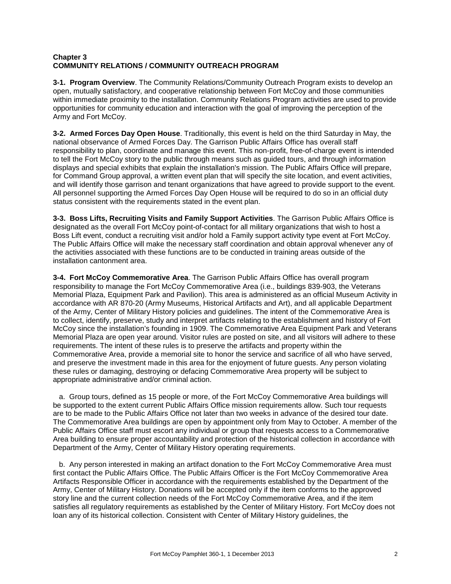# **Chapter 3 COMMUNITY RELATIONS / COMMUNITY OUTREACH PROGRAM**

**3-1. Program Overview**. The Community Relations/Community Outreach Program exists to develop an open, mutually satisfactory, and cooperative relationship between Fort McCoy and those communities within immediate proximity to the installation. Community Relations Program activities are used to provide opportunities for community education and interaction with the goal of improving the perception of the Army and Fort McCoy.

**3-2. Armed Forces Day Open House**. Traditionally, this event is held on the third Saturday in May, the national observance of Armed Forces Day. The Garrison Public Affairs Office has overall staff responsibility to plan, coordinate and manage this event. This non-profit, free-of-charge event is intended to tell the Fort McCoy story to the public through means such as guided tours, and through information displays and special exhibits that explain the installation's mission. The Public Affairs Office will prepare, for Command Group approval, a written event plan that will specify the site location, and event activities, and will identify those garrison and tenant organizations that have agreed to provide support to the event. All personnel supporting the Armed Forces Day Open House will be required to do so in an official duty status consistent with the requirements stated in the event plan.

**3-3. Boss Lifts, Recruiting Visits and Family Support Activities**. The Garrison Public Affairs Office is designated as the overall Fort McCoy point-of-contact for all military organizations that wish to host a Boss Lift event, conduct a recruiting visit and/or hold a Family support activity type event at Fort McCoy. The Public Affairs Office will make the necessary staff coordination and obtain approval whenever any of the activities associated with these functions are to be conducted in training areas outside of the installation cantonment area.

**3-4. Fort McCoy Commemorative Area**. The Garrison Public Affairs Office has overall program responsibility to manage the Fort McCoy Commemorative Area (i.e., buildings 839-903, the Veterans Memorial Plaza, Equipment Park and Pavilion). This area is administered as an official Museum Activity in accordance with AR 870-20 (Army Museums, Historical Artifacts and Art), and all applicable Department of the Army, Center of Military History policies and guidelines. The intent of the Commemorative Area is to collect, identify, preserve, study and interpret artifacts relating to the establishment and history of Fort McCoy since the installation's founding in 1909. The Commemorative Area Equipment Park and Veterans Memorial Plaza are open year around. Visitor rules are posted on site, and all visitors will adhere to these requirements. The intent of these rules is to preserve the artifacts and property within the Commemorative Area, provide a memorial site to honor the service and sacrifice of all who have served, and preserve the investment made in this area for the enjoyment of future guests. Any person violating these rules or damaging, destroying or defacing Commemorative Area property will be subject to appropriate administrative and/or criminal action.

 a.Group tours, defined as 15 people or more, of the Fort McCoy Commemorative Area buildings will be supported to the extent current Public Affairs Office mission requirements allow. Such tour requests are to be made to the Public Affairs Office not later than two weeks in advance of the desired tour date. The Commemorative Area buildings are open by appointment only from May to October. A member of the Public Affairs Office staff must escort any individual or group that requests access to a Commemorative Area building to ensure proper accountability and protection of the historical collection in accordance with Department of the Army, Center of Military History operating requirements.

 b.Any person interested in making an artifact donation to the Fort McCoy Commemorative Area must first contact the Public Affairs Office. The Public Affairs Officer is the Fort McCoy Commemorative Area Artifacts Responsible Officer in accordance with the requirements established by the Department of the Army, Center of Military History. Donations will be accepted only if the item conforms to the approved story line and the current collection needs of the Fort McCoy Commemorative Area, and if the item satisfies all regulatory requirements as established by the Center of Military History. Fort McCoy does not loan any of its historical collection. Consistent with Center of Military History guidelines, the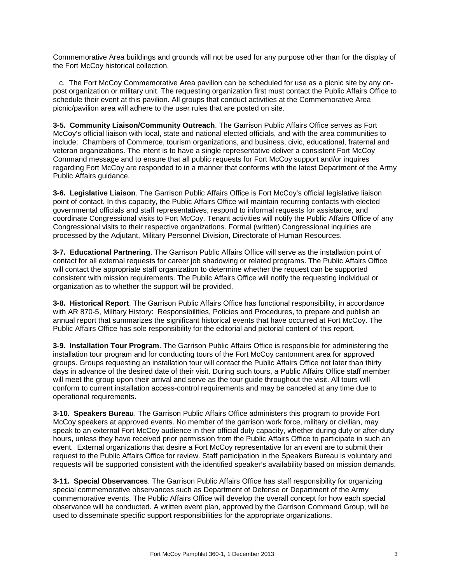Commemorative Area buildings and grounds will not be used for any purpose other than for the display of the Fort McCoy historical collection.

 c. The Fort McCoy Commemorative Area pavilion can be scheduled for use as a picnic site by any onpost organization or military unit. The requesting organization first must contact the Public Affairs Office to schedule their event at this pavilion. All groups that conduct activities at the Commemorative Area picnic/pavilion area will adhere to the user rules that are posted on site.

**3-5. Community Liaison/Community Outreach**. The Garrison Public Affairs Office serves as Fort McCoy's official liaison with local, state and national elected officials, and with the area communities to include: Chambers of Commerce, tourism organizations, and business, civic, educational, fraternal and veteran organizations. The intent is to have a single representative deliver a consistent Fort McCoy Command message and to ensure that all public requests for Fort McCoy support and/or inquires regarding Fort McCoy are responded to in a manner that conforms with the latest Department of the Army Public Affairs guidance.

**3-6. Legislative Liaison**. The Garrison Public Affairs Office is Fort McCoy's official legislative liaison point of contact. In this capacity, the Public Affairs Office will maintain recurring contacts with elected governmental officials and staff representatives, respond to informal requests for assistance, and coordinate Congressional visits to Fort McCoy. Tenant activities will notify the Public Affairs Office of any Congressional visits to their respective organizations. Formal (written) Congressional inquiries are processed by the Adjutant, Military Personnel Division, Directorate of Human Resources.

**3-7. Educational Partnering**. The Garrison Public Affairs Office will serve as the installation point of contact for all external requests for career job shadowing or related programs. The Public Affairs Office will contact the appropriate staff organization to determine whether the request can be supported consistent with mission requirements. The Public Affairs Office will notify the requesting individual or organization as to whether the support will be provided.

**3-8. Historical Report**. The Garrison Public Affairs Office has functional responsibility, in accordance with AR 870-5, Military History: Responsibilities, Policies and Procedures, to prepare and publish an annual report that summarizes the significant historical events that have occurred at Fort McCoy. The Public Affairs Office has sole responsibility for the editorial and pictorial content of this report.

**3-9. Installation Tour Program**. The Garrison Public Affairs Office is responsible for administering the installation tour program and for conducting tours of the Fort McCoy cantonment area for approved groups. Groups requesting an installation tour will contact the Public Affairs Office not later than thirty days in advance of the desired date of their visit. During such tours, a Public Affairs Office staff member will meet the group upon their arrival and serve as the tour guide throughout the visit. All tours will conform to current installation access-control requirements and may be canceled at any time due to operational requirements.

**3-10. Speakers Bureau**. The Garrison Public Affairs Office administers this program to provide Fort McCoy speakers at approved events. No member of the garrison work force, military or civilian, may speak to an external Fort McCoy audience in their official duty capacity, whether during duty or after-duty hours, unless they have received prior permission from the Public Affairs Office to participate in such an event. External organizations that desire a Fort McCoy representative for an event are to submit their request to the Public Affairs Office for review. Staff participation in the Speakers Bureau is voluntary and requests will be supported consistent with the identified speaker's availability based on mission demands.

**3-11. Special Observances**. The Garrison Public Affairs Office has staff responsibility for organizing special commemorative observances such as Department of Defense or Department of the Army commemorative events. The Public Affairs Office will develop the overall concept for how each special observance will be conducted. A written event plan, approved by the Garrison Command Group, will be used to disseminate specific support responsibilities for the appropriate organizations.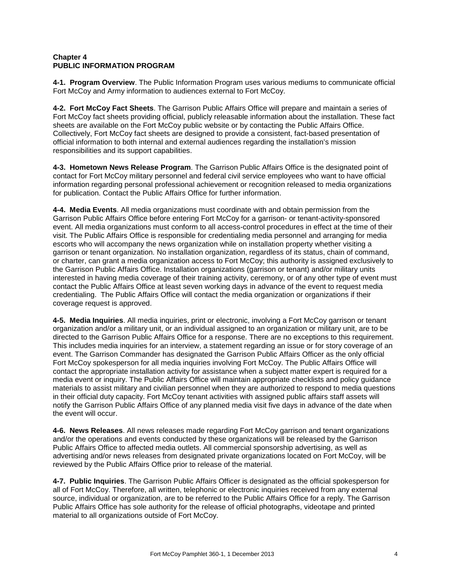# **Chapter 4 PUBLIC INFORMATION PROGRAM**

**4-1. Program Overview**. The Public Information Program uses various mediums to communicate official Fort McCoy and Army information to audiences external to Fort McCoy.

**4-2. Fort McCoy Fact Sheets**. The Garrison Public Affairs Office will prepare and maintain a series of Fort McCoy fact sheets providing official, publicly releasable information about the installation. These fact sheets are available on the Fort McCoy public website or by contacting the Public Affairs Office. Collectively, Fort McCoy fact sheets are designed to provide a consistent, fact-based presentation of official information to both internal and external audiences regarding the installation's mission responsibilities and its support capabilities.

**4-3. Hometown News Release Program**. The Garrison Public Affairs Office is the designated point of contact for Fort McCoy military personnel and federal civil service employees who want to have official information regarding personal professional achievement or recognition released to media organizations for publication. Contact the Public Affairs Office for further information.

**4-4. Media Events**. All media organizations must coordinate with and obtain permission from the Garrison Public Affairs Office before entering Fort McCoy for a garrison- or tenant-activity-sponsored event. All media organizations must conform to all access-control procedures in effect at the time of their visit. The Public Affairs Office is responsible for credentialing media personnel and arranging for media escorts who will accompany the news organization while on installation property whether visiting a garrison or tenant organization. No installation organization, regardless of its status, chain of command, or charter, can grant a media organization access to Fort McCoy; this authority is assigned exclusively to the Garrison Public Affairs Office. Installation organizations (garrison or tenant) and/or military units interested in having media coverage of their training activity, ceremony, or of any other type of event must contact the Public Affairs Office at least seven working days in advance of the event to request media credentialing. The Public Affairs Office will contact the media organization or organizations if their coverage request is approved.

**4-5. Media Inquiries**. All media inquiries, print or electronic, involving a Fort McCoy garrison or tenant organization and/or a military unit, or an individual assigned to an organization or military unit, are to be directed to the Garrison Public Affairs Office for a response. There are no exceptions to this requirement. This includes media inquiries for an interview, a statement regarding an issue or for story coverage of an event. The Garrison Commander has designated the Garrison Public Affairs Officer as the only official Fort McCoy spokesperson for all media inquiries involving Fort McCoy. The Public Affairs Office will contact the appropriate installation activity for assistance when a subject matter expert is required for a media event or inquiry. The Public Affairs Office will maintain appropriate checklists and policy guidance materials to assist military and civilian personnel when they are authorized to respond to media questions in their official duty capacity. Fort McCoy tenant activities with assigned public affairs staff assets will notify the Garrison Public Affairs Office of any planned media visit five days in advance of the date when the event will occur.

**4-6. News Releases**. All news releases made regarding Fort McCoy garrison and tenant organizations and/or the operations and events conducted by these organizations will be released by the Garrison Public Affairs Office to affected media outlets. All commercial sponsorship advertising, as well as advertising and/or news releases from designated private organizations located on Fort McCoy, will be reviewed by the Public Affairs Office prior to release of the material.

**4-7. Public Inquiries**. The Garrison Public Affairs Officer is designated as the official spokesperson for all of Fort McCoy. Therefore, all written, telephonic or electronic inquiries received from any external source, individual or organization, are to be referred to the Public Affairs Office for a reply. The Garrison Public Affairs Office has sole authority for the release of official photographs, videotape and printed material to all organizations outside of Fort McCoy.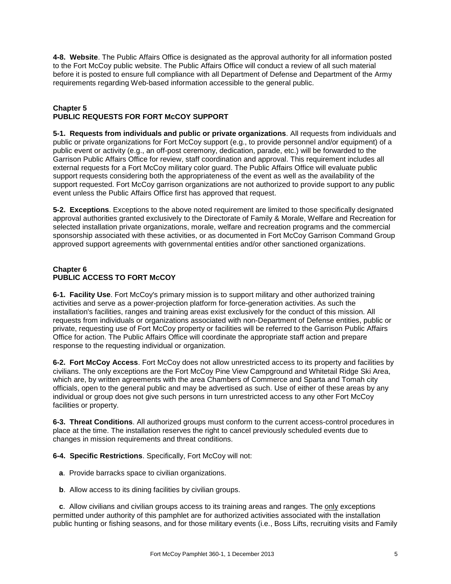**4-8. Website**. The Public Affairs Office is designated as the approval authority for all information posted to the Fort McCoy public website. The Public Affairs Office will conduct a review of all such material before it is posted to ensure full compliance with all Department of Defense and Department of the Army requirements regarding Web-based information accessible to the general public.

# **Chapter 5 PUBLIC REQUESTS FOR FORT McCOY SUPPORT**

**5-1. Requests from individuals and public or private organizations**. All requests from individuals and public or private organizations for Fort McCoy support (e.g., to provide personnel and/or equipment) of a public event or activity (e.g., an off-post ceremony, dedication, parade, etc.) will be forwarded to the Garrison Public Affairs Office for review, staff coordination and approval. This requirement includes all external requests for a Fort McCoy military color guard. The Public Affairs Office will evaluate public support requests considering both the appropriateness of the event as well as the availability of the support requested. Fort McCoy garrison organizations are not authorized to provide support to any public event unless the Public Affairs Office first has approved that request.

**5-2. Exceptions**. Exceptions to the above noted requirement are limited to those specifically designated approval authorities granted exclusively to the Directorate of Family & Morale, Welfare and Recreation for selected installation private organizations, morale, welfare and recreation programs and the commercial sponsorship associated with these activities, or as documented in Fort McCoy Garrison Command Group approved support agreements with governmental entities and/or other sanctioned organizations.

# **Chapter 6 PUBLIC ACCESS TO FORT McCOY**

**6-1. Facility Use**. Fort McCoy's primary mission is to support military and other authorized training activities and serve as a power-projection platform for force-generation activities. As such the installation's facilities, ranges and training areas exist exclusively for the conduct of this mission. All requests from individuals or organizations associated with non-Department of Defense entities, public or private, requesting use of Fort McCoy property or facilities will be referred to the Garrison Public Affairs Office for action. The Public Affairs Office will coordinate the appropriate staff action and prepare response to the requesting individual or organization.

**6-2. Fort McCoy Access**. Fort McCoy does not allow unrestricted access to its property and facilities by civilians. The only exceptions are the Fort McCoy Pine View Campground and Whitetail Ridge Ski Area, which are, by written agreements with the area Chambers of Commerce and Sparta and Tomah city officials, open to the general public and may be advertised as such. Use of either of these areas by any individual or group does not give such persons in turn unrestricted access to any other Fort McCoy facilities or property.

**6-3. Threat Conditions**. All authorized groups must conform to the current access-control procedures in place at the time. The installation reserves the right to cancel previously scheduled events due to changes in mission requirements and threat conditions.

**6-4. Specific Restrictions**. Specifically, Fort McCoy will not:

- **a**.Provide barracks space to civilian organizations.
- **b**. Allow access to its dining facilities by civilian groups.

 **c**.Allow civilians and civilian groups access to its training areas and ranges. The only exceptions permitted under authority of this pamphlet are for authorized activities associated with the installation public hunting or fishing seasons, and for those military events (i.e., Boss Lifts, recruiting visits and Family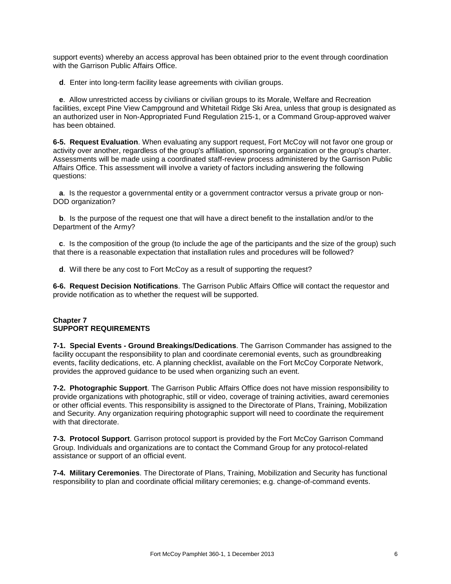support events) whereby an access approval has been obtained prior to the event through coordination with the Garrison Public Affairs Office.

**d**. Enter into long-term facility lease agreements with civilian groups.

 **e**.Allow unrestricted access by civilians or civilian groups to its Morale, Welfare and Recreation facilities, except Pine View Campground and Whitetail Ridge Ski Area, unless that group is designated as an authorized user in Non-Appropriated Fund Regulation 215-1, or a Command Group-approved waiver has been obtained.

**6-5. Request Evaluation**. When evaluating any support request, Fort McCoy will not favor one group or activity over another, regardless of the group's affiliation, sponsoring organization or the group's charter. Assessments will be made using a coordinated staff-review process administered by the Garrison Public Affairs Office. This assessment will involve a variety of factors including answering the following questions:

 **a**. Is the requestor a governmental entity or a government contractor versus a private group or non-DOD organization?

 **b**. Is the purpose of the request one that will have a direct benefit to the installation and/or to the Department of the Army?

 **c**. Is the composition of the group (to include the age of the participants and the size of the group) such that there is a reasonable expectation that installation rules and procedures will be followed?

**d**. Will there be any cost to Fort McCoy as a result of supporting the request?

**6-6. Request Decision Notifications**. The Garrison Public Affairs Office will contact the requestor and provide notification as to whether the request will be supported.

## **Chapter 7 SUPPORT REQUIREMENTS**

**7-1. Special Events - Ground Breakings/Dedications**. The Garrison Commander has assigned to the facility occupant the responsibility to plan and coordinate ceremonial events, such as groundbreaking events, facility dedications, etc. A planning checklist, available on the Fort McCoy Corporate Network, provides the approved guidance to be used when organizing such an event.

**7-2. Photographic Support**. The Garrison Public Affairs Office does not have mission responsibility to provide organizations with photographic, still or video, coverage of training activities, award ceremonies or other official events. This responsibility is assigned to the Directorate of Plans, Training, Mobilization and Security. Any organization requiring photographic support will need to coordinate the requirement with that directorate.

**7-3. Protocol Support**. Garrison protocol support is provided by the Fort McCoy Garrison Command Group. Individuals and organizations are to contact the Command Group for any protocol-related assistance or support of an official event.

**7-4. Military Ceremonies**. The Directorate of Plans, Training, Mobilization and Security has functional responsibility to plan and coordinate official military ceremonies; e.g. change-of-command events.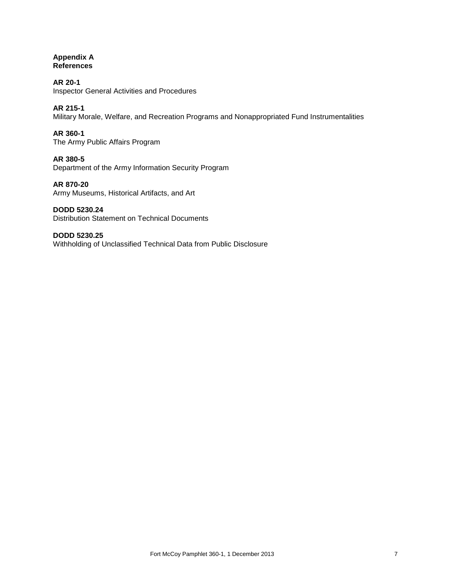# **Appendix A References**

**AR 20-1** Inspector General Activities and Procedures

**AR 215-1** Military Morale, Welfare, and Recreation Programs and Nonappropriated Fund Instrumentalities

**AR 360-1** The Army Public Affairs Program

**AR 380-5** Department of the Army Information Security Program

**AR 870-20** Army Museums, Historical Artifacts, and Art

**DODD 5230.24** Distribution Statement on Technical Documents

**DODD 5230.25** Withholding of Unclassified Technical Data from Public Disclosure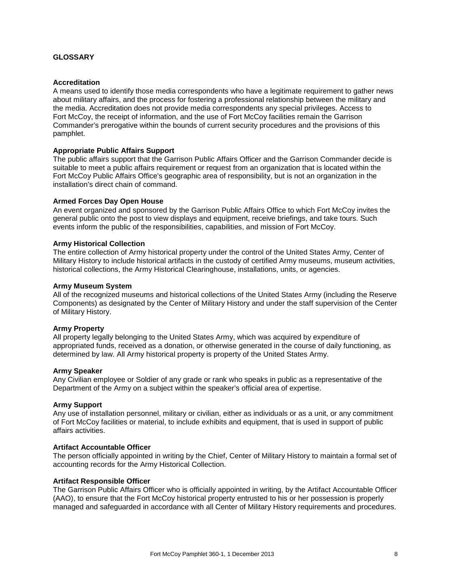## **GLOSSARY**

## **Accreditation**

A means used to identify those media correspondents who have a legitimate requirement to gather news about military affairs, and the process for fostering a professional relationship between the military and the media. Accreditation does not provide media correspondents any special privileges. Access to Fort McCoy, the receipt of information, and the use of Fort McCoy facilities remain the Garrison Commander's prerogative within the bounds of current security procedures and the provisions of this pamphlet.

## **Appropriate Public Affairs Support**

The public affairs support that the Garrison Public Affairs Officer and the Garrison Commander decide is suitable to meet a public affairs requirement or request from an organization that is located within the Fort McCoy Public Affairs Office's geographic area of responsibility, but is not an organization in the installation's direct chain of command.

## **Armed Forces Day Open House**

An event organized and sponsored by the Garrison Public Affairs Office to which Fort McCoy invites the general public onto the post to view displays and equipment, receive briefings, and take tours. Such events inform the public of the responsibilities, capabilities, and mission of Fort McCoy.

## **Army Historical Collection**

The entire collection of Army historical property under the control of the United States Army, Center of Military History to include historical artifacts in the custody of certified Army museums, museum activities, historical collections, the Army Historical Clearinghouse, installations, units, or agencies.

#### **Army Museum System**

All of the recognized museums and historical collections of the United States Army (including the Reserve Components) as designated by the Center of Military History and under the staff supervision of the Center of Military History.

## **Army Property**

All property legally belonging to the United States Army, which was acquired by expenditure of appropriated funds, received as a donation, or otherwise generated in the course of daily functioning, as determined by law. All Army historical property is property of the United States Army.

#### **Army Speaker**

Any Civilian employee or Soldier of any grade or rank who speaks in public as a representative of the Department of the Army on a subject within the speaker's official area of expertise.

## **Army Support**

Any use of installation personnel, military or civilian, either as individuals or as a unit, or any commitment of Fort McCoy facilities or material, to include exhibits and equipment, that is used in support of public affairs activities.

#### **Artifact Accountable Officer**

The person officially appointed in writing by the Chief, Center of Military History to maintain a formal set of accounting records for the Army Historical Collection.

## **Artifact Responsible Officer**

The Garrison Public Affairs Officer who is officially appointed in writing, by the Artifact Accountable Officer (AAO), to ensure that the Fort McCoy historical property entrusted to his or her possession is properly managed and safeguarded in accordance with all Center of Military History requirements and procedures.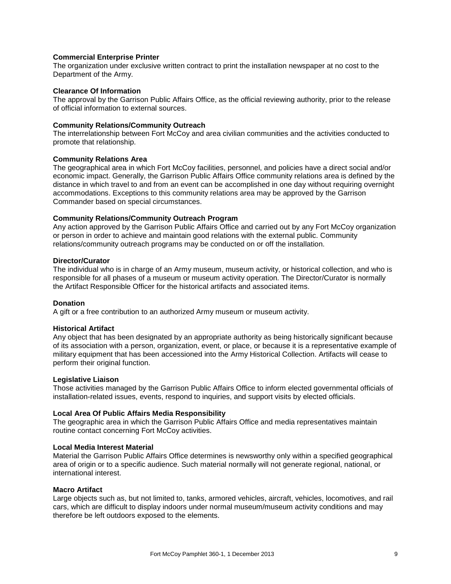## **Commercial Enterprise Printer**

The organization under exclusive written contract to print the installation newspaper at no cost to the Department of the Army.

## **Clearance Of Information**

The approval by the Garrison Public Affairs Office, as the official reviewing authority, prior to the release of official information to external sources.

## **Community Relations/Community Outreach**

The interrelationship between Fort McCoy and area civilian communities and the activities conducted to promote that relationship.

## **Community Relations Area**

The geographical area in which Fort McCoy facilities, personnel, and policies have a direct social and/or economic impact. Generally, the Garrison Public Affairs Office community relations area is defined by the distance in which travel to and from an event can be accomplished in one day without requiring overnight accommodations. Exceptions to this community relations area may be approved by the Garrison Commander based on special circumstances.

## **Community Relations/Community Outreach Program**

Any action approved by the Garrison Public Affairs Office and carried out by any Fort McCoy organization or person in order to achieve and maintain good relations with the external public. Community relations/community outreach programs may be conducted on or off the installation.

## **Director/Curator**

The individual who is in charge of an Army museum, museum activity, or historical collection, and who is responsible for all phases of a museum or museum activity operation. The Director/Curator is normally the Artifact Responsible Officer for the historical artifacts and associated items.

#### **Donation**

A gift or a free contribution to an authorized Army museum or museum activity.

#### **Historical Artifact**

Any object that has been designated by an appropriate authority as being historically significant because of its association with a person, organization, event, or place, or because it is a representative example of military equipment that has been accessioned into the Army Historical Collection. Artifacts will cease to perform their original function.

#### **Legislative Liaison**

Those activities managed by the Garrison Public Affairs Office to inform elected governmental officials of installation-related issues, events, respond to inquiries, and support visits by elected officials.

#### **Local Area Of Public Affairs Media Responsibility**

The geographic area in which the Garrison Public Affairs Office and media representatives maintain routine contact concerning Fort McCoy activities.

#### **Local Media Interest Material**

Material the Garrison Public Affairs Office determines is newsworthy only within a specified geographical area of origin or to a specific audience. Such material normally will not generate regional, national, or international interest.

## **Macro Artifact**

Large objects such as, but not limited to, tanks, armored vehicles, aircraft, vehicles, locomotives, and rail cars, which are difficult to display indoors under normal museum/museum activity conditions and may therefore be left outdoors exposed to the elements.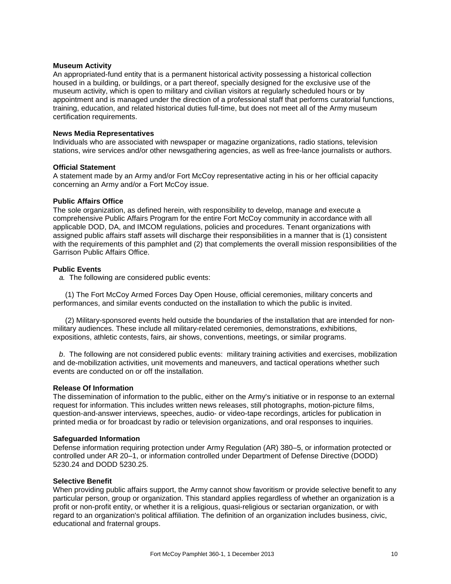## **Museum Activity**

An appropriated-fund entity that is a permanent historical activity possessing a historical collection housed in a building, or buildings, or a part thereof, specially designed for the exclusive use of the museum activity, which is open to military and civilian visitors at regularly scheduled hours or by appointment and is managed under the direction of a professional staff that performs curatorial functions, training, education, and related historical duties full-time, but does not meet all of the Army museum certification requirements.

## **News Media Representatives**

Individuals who are associated with newspaper or magazine organizations, radio stations, television stations, wire services and/or other newsgathering agencies, as well as free-lance journalists or authors.

## **Official Statement**

A statement made by an Army and/or Fort McCoy representative acting in his or her official capacity concerning an Army and/or a Fort McCoy issue.

## **Public Affairs Office**

The sole organization, as defined herein, with responsibility to develop, manage and execute a comprehensive Public Affairs Program for the entire Fort McCoy community in accordance with all applicable DOD, DA, and IMCOM regulations, policies and procedures. Tenant organizations with assigned public affairs staff assets will discharge their responsibilities in a manner that is (1) consistent with the requirements of this pamphlet and (2) that complements the overall mission responsibilities of the Garrison Public Affairs Office.

## **Public Events**

 *a.* The following are considered public events:

 (1) The Fort McCoy Armed Forces Day Open House, official ceremonies, military concerts and performances, and similar events conducted on the installation to which the public is invited.

 (2) Military-sponsored events held outside the boundaries of the installation that are intended for nonmilitary audiences. These include all military-related ceremonies, demonstrations, exhibitions, expositions, athletic contests, fairs, air shows, conventions, meetings, or similar programs.

 *b*. The following are not considered public events: military training activities and exercises, mobilization and de-mobilization activities, unit movements and maneuvers, and tactical operations whether such events are conducted on or off the installation.

#### **Release Of Information**

The dissemination of information to the public, either on the Army's initiative or in response to an external request for information. This includes written news releases, still photographs, motion-picture films, question-and-answer interviews, speeches, audio- or video-tape recordings, articles for publication in printed media or for broadcast by radio or television organizations, and oral responses to inquiries.

## **Safeguarded Information**

Defense information requiring protection under Army Regulation (AR) 380–5, or information protected or controlled under AR 20–1, or information controlled under Department of Defense Directive (DODD) 5230.24 and DODD 5230.25.

#### **Selective Benefit**

When providing public affairs support, the Army cannot show favoritism or provide selective benefit to any particular person, group or organization. This standard applies regardless of whether an organization is a profit or non-profit entity, or whether it is a religious, quasi-religious or sectarian organization, or with regard to an organization's political affiliation. The definition of an organization includes business, civic, educational and fraternal groups.